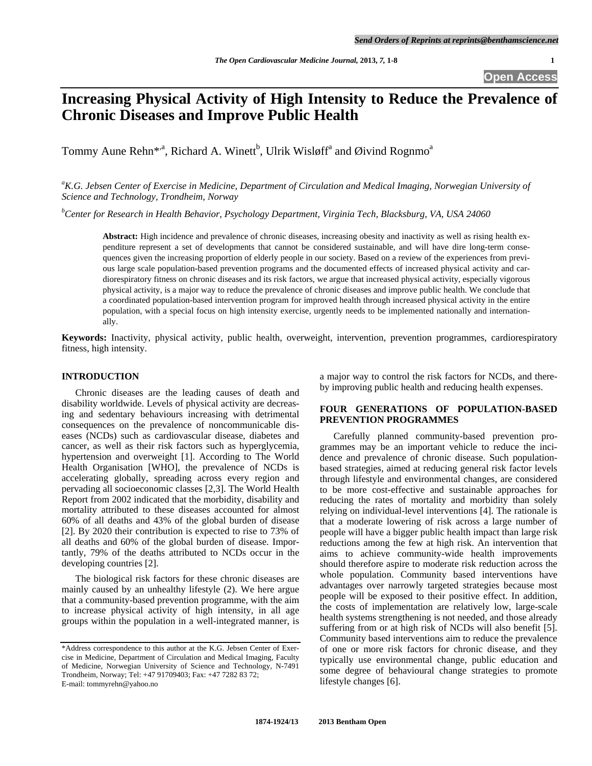# **Increasing Physical Activity of High Intensity to Reduce the Prevalence of Chronic Diseases and Improve Public Health**

Tommy Aune Rehn<sup>\*,a</sup>, Richard A. Winett<sup>b</sup>, Ulrik Wisløff<sup>a</sup> and Øivind Rognmo<sup>a</sup>

<sup>a</sup>K.G. Jebsen Center of Exercise in Medicine, Department of Circulation and Medical Imaging, Norwegian University of *Science and Technology, Trondheim, Norway* 

*b Center for Research in Health Behavior, Psychology Department, Virginia Tech, Blacksburg, VA, USA 24060* 

**Abstract:** High incidence and prevalence of chronic diseases, increasing obesity and inactivity as well as rising health expenditure represent a set of developments that cannot be considered sustainable, and will have dire long-term consequences given the increasing proportion of elderly people in our society. Based on a review of the experiences from previous large scale population-based prevention programs and the documented effects of increased physical activity and cardiorespiratory fitness on chronic diseases and its risk factors, we argue that increased physical activity, especially vigorous physical activity, is a major way to reduce the prevalence of chronic diseases and improve public health. We conclude that a coordinated population-based intervention program for improved health through increased physical activity in the entire population, with a special focus on high intensity exercise, urgently needs to be implemented nationally and internationally.

**Keywords:** Inactivity, physical activity, public health, overweight, intervention, prevention programmes, cardiorespiratory fitness, high intensity.

#### **INTRODUCTION**

 Chronic diseases are the leading causes of death and disability worldwide. Levels of physical activity are decreasing and sedentary behaviours increasing with detrimental consequences on the prevalence of noncommunicable diseases (NCDs) such as cardiovascular disease, diabetes and cancer, as well as their risk factors such as hyperglycemia, hypertension and overweight [1]. According to The World Health Organisation [WHO], the prevalence of NCDs is accelerating globally, spreading across every region and pervading all socioeconomic classes [2,3]. The World Health Report from 2002 indicated that the morbidity, disability and mortality attributed to these diseases accounted for almost 60% of all deaths and 43% of the global burden of disease [2]. By 2020 their contribution is expected to rise to 73% of all deaths and 60% of the global burden of disease. Importantly, 79% of the deaths attributed to NCDs occur in the developing countries [2].

 The biological risk factors for these chronic diseases are mainly caused by an unhealthy lifestyle (2). We here argue that a community-based prevention programme, with the aim to increase physical activity of high intensity, in all age groups within the population in a well-integrated manner, is

a major way to control the risk factors for NCDs, and thereby improving public health and reducing health expenses.

# **FOUR GENERATIONS OF POPULATION-BASED PREVENTION PROGRAMMES**

 Carefully planned community-based prevention programmes may be an important vehicle to reduce the incidence and prevalence of chronic disease. Such populationbased strategies, aimed at reducing general risk factor levels through lifestyle and environmental changes, are considered to be more cost-effective and sustainable approaches for reducing the rates of mortality and morbidity than solely relying on individual-level interventions [4]. The rationale is that a moderate lowering of risk across a large number of people will have a bigger public health impact than large risk reductions among the few at high risk. An intervention that aims to achieve community-wide health improvements should therefore aspire to moderate risk reduction across the whole population. Community based interventions have advantages over narrowly targeted strategies because most people will be exposed to their positive effect. In addition, the costs of implementation are relatively low, large-scale health systems strengthening is not needed, and those already suffering from or at high risk of NCDs will also benefit [5]. Community based interventions aim to reduce the prevalence of one or more risk factors for chronic disease, and they typically use environmental change, public education and some degree of behavioural change strategies to promote lifestyle changes [6].

<sup>\*</sup>Address correspondence to this author at the K.G. Jebsen Center of Exercise in Medicine, Department of Circulation and Medical Imaging, Faculty of Medicine, Norwegian University of Science and Technology, N-7491 Trondheim, Norway; Tel: +47 91709403; Fax: +47 7282 83 72; E-mail: tommyrehn@yahoo.no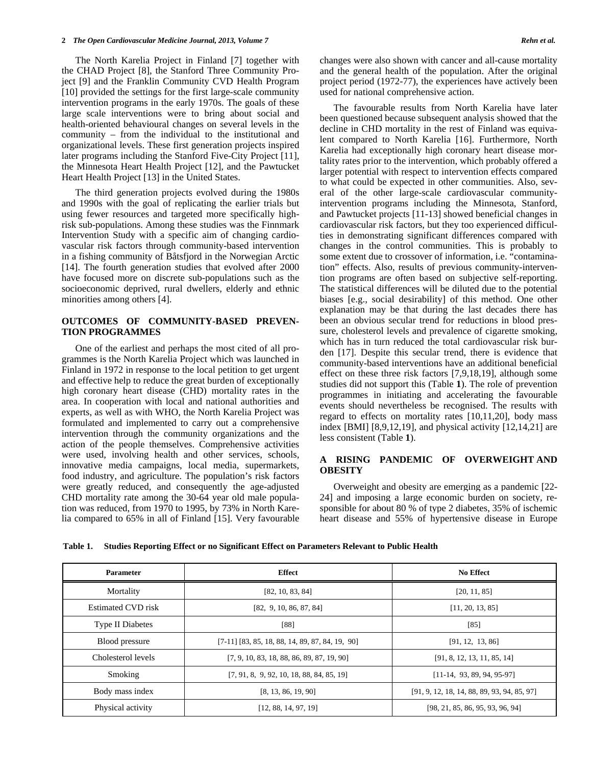The North Karelia Project in Finland [7] together with the CHAD Project [8], the Stanford Three Community Project [9] and the Franklin Community CVD Health Program [10] provided the settings for the first large-scale community intervention programs in the early 1970s. The goals of these large scale interventions were to bring about social and health-oriented behavioural changes on several levels in the community – from the individual to the institutional and organizational levels. These first generation projects inspired later programs including the Stanford Five-City Project [11], the Minnesota Heart Health Project [12], and the Pawtucket Heart Health Project [13] in the United States.

 The third generation projects evolved during the 1980s and 1990s with the goal of replicating the earlier trials but using fewer resources and targeted more specifically highrisk sub-populations. Among these studies was the Finnmark Intervention Study with a specific aim of changing cardiovascular risk factors through community-based intervention in a fishing community of Båtsfjord in the Norwegian Arctic [14]. The fourth generation studies that evolved after 2000 have focused more on discrete sub-populations such as the socioeconomic deprived, rural dwellers, elderly and ethnic minorities among others [4].

## **OUTCOMES OF COMMUNITY-BASED PREVEN-TION PROGRAMMES**

 One of the earliest and perhaps the most cited of all programmes is the North Karelia Project which was launched in Finland in 1972 in response to the local petition to get urgent and effective help to reduce the great burden of exceptionally high coronary heart disease (CHD) mortality rates in the area. In cooperation with local and national authorities and experts, as well as with WHO, the North Karelia Project was formulated and implemented to carry out a comprehensive intervention through the community organizations and the action of the people themselves. Comprehensive activities were used, involving health and other services, schools, innovative media campaigns, local media, supermarkets, food industry, and agriculture. The population's risk factors were greatly reduced, and consequently the age-adjusted CHD mortality rate among the 30-64 year old male population was reduced, from 1970 to 1995, by 73% in North Karelia compared to 65% in all of Finland [15]. Very favourable changes were also shown with cancer and all-cause mortality and the general health of the population. After the original project period (1972-77), the experiences have actively been used for national comprehensive action.

 The favourable results from North Karelia have later been questioned because subsequent analysis showed that the decline in CHD mortality in the rest of Finland was equivalent compared to North Karelia [16]. Furthermore, North Karelia had exceptionally high coronary heart disease mortality rates prior to the intervention, which probably offered a larger potential with respect to intervention effects compared to what could be expected in other communities. Also, several of the other large-scale cardiovascular communityintervention programs including the Minnesota, Stanford, and Pawtucket projects [11-13] showed beneficial changes in cardiovascular risk factors, but they too experienced difficulties in demonstrating significant differences compared with changes in the control communities. This is probably to some extent due to crossover of information, i.e. "contamination" effects. Also, results of previous community-intervention programs are often based on subjective self-reporting. The statistical differences will be diluted due to the potential biases [e.g., social desirability] of this method. One other explanation may be that during the last decades there has been an obvious secular trend for reductions in blood pressure, cholesterol levels and prevalence of cigarette smoking, which has in turn reduced the total cardiovascular risk burden [17]. Despite this secular trend, there is evidence that community-based interventions have an additional beneficial effect on these three risk factors [7,9,18,19], although some studies did not support this (Table **1**). The role of prevention programmes in initiating and accelerating the favourable events should nevertheless be recognised. The results with regard to effects on mortality rates [10,11,20], body mass index [BMI] [8,9,12,19], and physical activity [12,14,21] are less consistent (Table **1**).

## **A RISING PANDEMIC OF OVERWEIGHT AND OBESITY**

 Overweight and obesity are emerging as a pandemic [22- 24] and imposing a large economic burden on society, responsible for about 80 % of type 2 diabetes, 35% of ischemic heart disease and 55% of hypertensive disease in Europe

| Table 1. Studies Reporting Effect or no Significant Effect on Parameters Relevant to Public Health |  |  |  |  |  |
|----------------------------------------------------------------------------------------------------|--|--|--|--|--|
|----------------------------------------------------------------------------------------------------|--|--|--|--|--|

| <b>Parameter</b>        | <b>Effect</b>                                     | <b>No Effect</b>                            |
|-------------------------|---------------------------------------------------|---------------------------------------------|
| Mortality               | [82, 10, 83, 84]                                  | [20, 11, 85]                                |
| Estimated CVD risk      | [82, 9, 10, 86, 87, 84]                           | [11, 20, 13, 85]                            |
| <b>Type II Diabetes</b> | [88]                                              | $[85]$                                      |
| Blood pressure          | $[7-11]$ [83, 85, 18, 88, 14, 89, 87, 84, 19, 90] | [91, 12, 13, 86]                            |
| Cholesterol levels      | [7, 9, 10, 83, 18, 88, 86, 89, 87, 19, 90]        | [91, 8, 12, 13, 11, 85, 14]                 |
| Smoking                 | $[7, 91, 8, 9, 92, 10, 18, 88, 84, 85, 19]$       | $[11-14, 93, 89, 94, 95-97]$                |
| Body mass index         | [8, 13, 86, 19, 90]                               | [91, 9, 12, 18, 14, 88, 89, 93, 94, 85, 97] |
| Physical activity       | [12, 88, 14, 97, 19]                              | [98, 21, 85, 86, 95, 93, 96, 94]            |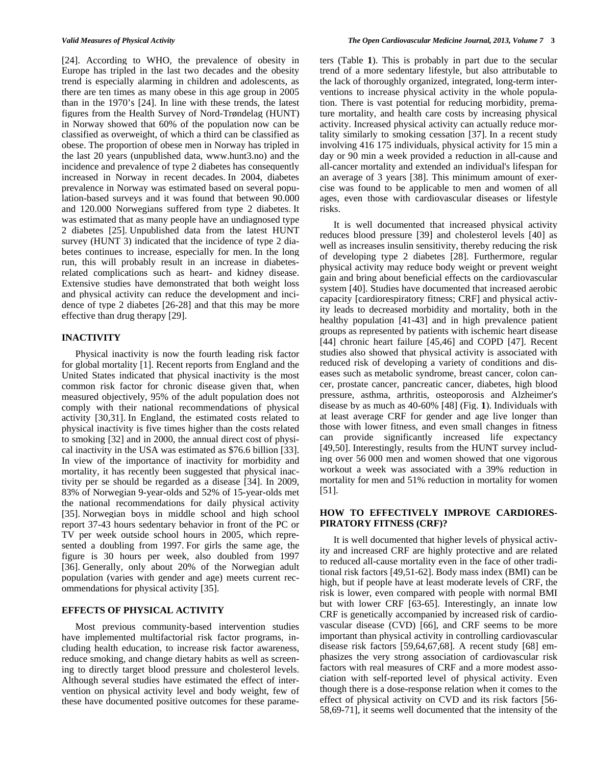[24]. According to WHO, the prevalence of obesity in Europe has tripled in the last two decades and the obesity trend is especially alarming in children and adolescents, as there are ten times as many obese in this age group in 2005 than in the 1970's [24]. In line with these trends, the latest figures from the Health Survey of Nord-Trøndelag (HUNT) in Norway showed that 60% of the population now can be classified as overweight, of which a third can be classified as obese. The proportion of obese men in Norway has tripled in the last 20 years (unpublished data, www.hunt3.no) and the incidence and prevalence of type 2 diabetes has consequently increased in Norway in recent decades. In 2004, diabetes prevalence in Norway was estimated based on several population-based surveys and it was found that between 90.000 and 120.000 Norwegians suffered from type 2 diabetes. It was estimated that as many people have an undiagnosed type 2 diabetes [25]. Unpublished data from the latest HUNT survey (HUNT 3) indicated that the incidence of type 2 diabetes continues to increase, especially for men. In the long run, this will probably result in an increase in diabetesrelated complications such as heart- and kidney disease. Extensive studies have demonstrated that both weight loss and physical activity can reduce the development and incidence of type 2 diabetes [26-28] and that this may be more effective than drug therapy [29].

## **INACTIVITY**

 Physical inactivity is now the fourth leading risk factor for global mortality [1]. Recent reports from England and the United States indicated that physical inactivity is the most common risk factor for chronic disease given that, when measured objectively, 95% of the adult population does not comply with their national recommendations of physical activity [30,31]. In England, the estimated costs related to physical inactivity is five times higher than the costs related to smoking [32] and in 2000, the annual direct cost of physical inactivity in the USA was estimated as \$76.6 billion [33]. In view of the importance of inactivity for morbidity and mortality, it has recently been suggested that physical inactivity per se should be regarded as a disease [34]. In 2009, 83% of Norwegian 9-year-olds and 52% of 15-year-olds met the national recommendations for daily physical activity [35]. Norwegian boys in middle school and high school report 37-43 hours sedentary behavior in front of the PC or TV per week outside school hours in 2005, which represented a doubling from 1997. For girls the same age, the figure is 30 hours per week, also doubled from 1997 [36]. Generally, only about 20% of the Norwegian adult population (varies with gender and age) meets current recommendations for physical activity [35].

### **EFFECTS OF PHYSICAL ACTIVITY**

 Most previous community-based intervention studies have implemented multifactorial risk factor programs, including health education, to increase risk factor awareness, reduce smoking, and change dietary habits as well as screening to directly target blood pressure and cholesterol levels. Although several studies have estimated the effect of intervention on physical activity level and body weight, few of these have documented positive outcomes for these parameters (Table **1**). This is probably in part due to the secular trend of a more sedentary lifestyle, but also attributable to the lack of thoroughly organized, integrated, long-term interventions to increase physical activity in the whole population. There is vast potential for reducing morbidity, premature mortality, and health care costs by increasing physical activity. Increased physical activity can actually reduce mortality similarly to smoking cessation [37]. In a recent study involving 416 175 individuals, physical activity for 15 min a day or 90 min a week provided a reduction in all-cause and all-cancer mortality and extended an individual's lifespan for an average of 3 years [38]. This minimum amount of exercise was found to be applicable to men and women of all ages, even those with cardiovascular diseases or lifestyle risks.

 It is well documented that increased physical activity reduces blood pressure [39] and cholesterol levels [40] as well as increases insulin sensitivity, thereby reducing the risk of developing type 2 diabetes [28]. Furthermore, regular physical activity may reduce body weight or prevent weight gain and bring about beneficial effects on the cardiovascular system [40]. Studies have documented that increased aerobic capacity [cardiorespiratory fitness; CRF] and physical activity leads to decreased morbidity and mortality, both in the healthy population [41-43] and in high prevalence patient groups as represented by patients with ischemic heart disease [44] chronic heart failure [45,46] and COPD [47]. Recent studies also showed that physical activity is associated with reduced risk of developing a variety of conditions and diseases such as metabolic syndrome, breast cancer, colon cancer, prostate cancer, pancreatic cancer, diabetes, high blood pressure, asthma, arthritis, osteoporosis and Alzheimer's disease by as much as 40-60% [48] (Fig. **1**). Individuals with at least average CRF for gender and age live longer than those with lower fitness, and even small changes in fitness can provide significantly increased life expectancy [49,50]. Interestingly, results from the HUNT survey including over 56 000 men and women showed that one vigorous workout a week was associated with a 39% reduction in mortality for men and 51% reduction in mortality for women [51].

## **HOW TO EFFECTIVELY IMPROVE CARDIORES-PIRATORY FITNESS (CRF)?**

 It is well documented that higher levels of physical activity and increased CRF are highly protective and are related to reduced all-cause mortality even in the face of other traditional risk factors [49,51-62]. Body mass index (BMI) can be high, but if people have at least moderate levels of CRF, the risk is lower, even compared with people with normal BMI but with lower CRF [63-65]. Interestingly, an innate low CRF is genetically accompanied by increased risk of cardiovascular disease (CVD) [66], and CRF seems to be more important than physical activity in controlling cardiovascular disease risk factors [59,64,67,68]. A recent study [68] emphasizes the very strong association of cardiovascular risk factors with real measures of CRF and a more modest association with self-reported level of physical activity. Even though there is a dose-response relation when it comes to the effect of physical activity on CVD and its risk factors [56- 58,69-71], it seems well documented that the intensity of the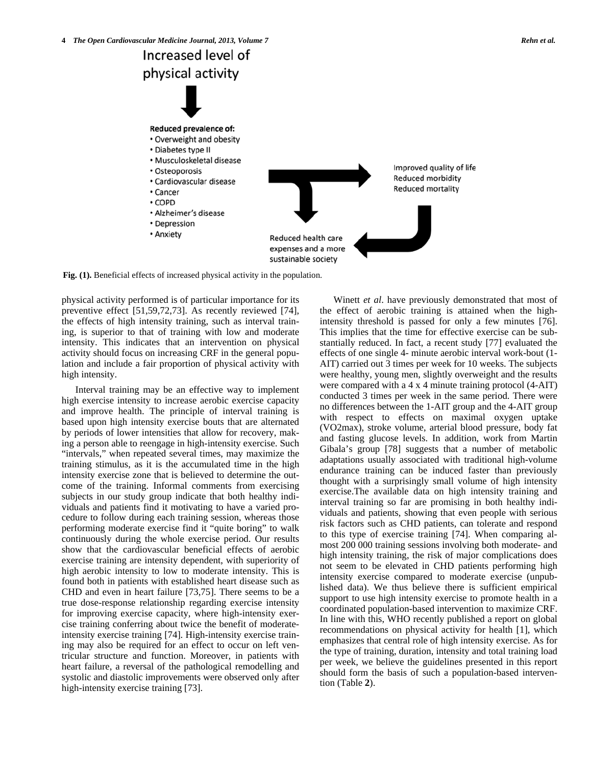

**Fig. (1).** Beneficial effects of increased physical activity in the population.

physical activity performed is of particular importance for its preventive effect [51,59,72,73]. As recently reviewed [74], the effects of high intensity training, such as interval training, is superior to that of training with low and moderate intensity. This indicates that an intervention on physical activity should focus on increasing CRF in the general population and include a fair proportion of physical activity with high intensity.

 Interval training may be an effective way to implement high exercise intensity to increase aerobic exercise capacity and improve health. The principle of interval training is based upon high intensity exercise bouts that are alternated by periods of lower intensities that allow for recovery, making a person able to reengage in high-intensity exercise. Such "intervals," when repeated several times, may maximize the training stimulus, as it is the accumulated time in the high intensity exercise zone that is believed to determine the outcome of the training. Informal comments from exercising subjects in our study group indicate that both healthy individuals and patients find it motivating to have a varied procedure to follow during each training session, whereas those performing moderate exercise find it "quite boring" to walk continuously during the whole exercise period. Our results show that the cardiovascular beneficial effects of aerobic exercise training are intensity dependent, with superiority of high aerobic intensity to low to moderate intensity. This is found both in patients with established heart disease such as CHD and even in heart failure [73,75]. There seems to be a true dose-response relationship regarding exercise intensity for improving exercise capacity, where high-intensity exercise training conferring about twice the benefit of moderateintensity exercise training [74]. High-intensity exercise training may also be required for an effect to occur on left ventricular structure and function. Moreover, in patients with heart failure, a reversal of the pathological remodelling and systolic and diastolic improvements were observed only after high-intensity exercise training [73].

 Winett *et al*. have previously demonstrated that most of the effect of aerobic training is attained when the highintensity threshold is passed for only a few minutes [76]. This implies that the time for effective exercise can be substantially reduced. In fact, a recent study [77] evaluated the effects of one single 4- minute aerobic interval work-bout (1- AIT) carried out 3 times per week for 10 weeks. The subjects were healthy, young men, slightly overweight and the results were compared with a 4 x 4 minute training protocol (4-AIT) conducted 3 times per week in the same period. There were no differences between the 1-AIT group and the 4-AIT group with respect to effects on maximal oxygen uptake (VO2max), stroke volume, arterial blood pressure, body fat and fasting glucose levels. In addition, work from Martin Gibala's group [78] suggests that a number of metabolic adaptations usually associated with traditional high-volume endurance training can be induced faster than previously thought with a surprisingly small volume of high intensity exercise.The available data on high intensity training and interval training so far are promising in both healthy individuals and patients, showing that even people with serious risk factors such as CHD patients, can tolerate and respond to this type of exercise training [74]. When comparing almost 200 000 training sessions involving both moderate- and high intensity training, the risk of major complications does not seem to be elevated in CHD patients performing high intensity exercise compared to moderate exercise (unpublished data). We thus believe there is sufficient empirical support to use high intensity exercise to promote health in a coordinated population-based intervention to maximize CRF. In line with this, WHO recently published a report on global recommendations on physical activity for health [1], which emphasizes that central role of high intensity exercise. As for the type of training, duration, intensity and total training load per week, we believe the guidelines presented in this report should form the basis of such a population-based intervention (Table **2**).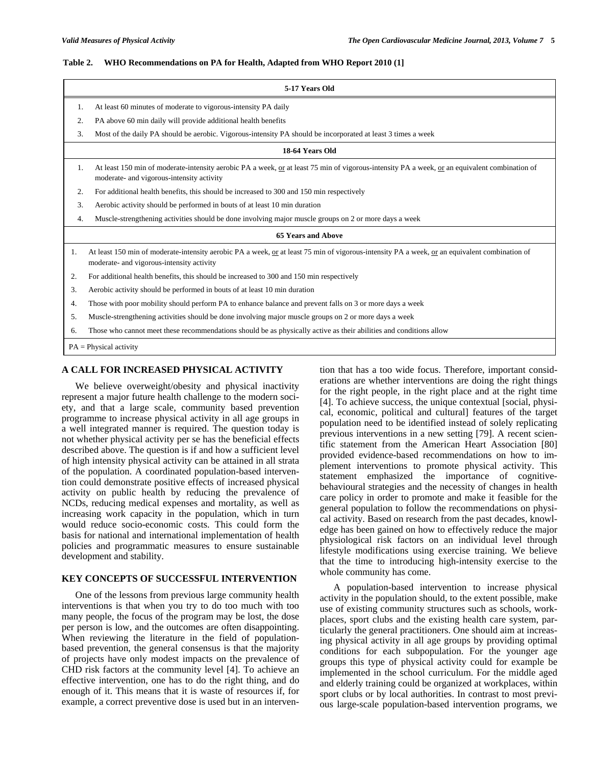### **Table 2. WHO Recommendations on PA for Health, Adapted from WHO Report 2010 (1]**

| 5-17 Years Old            |                                                                                                                                                                                            |  |  |  |  |
|---------------------------|--------------------------------------------------------------------------------------------------------------------------------------------------------------------------------------------|--|--|--|--|
| 1.                        | At least 60 minutes of moderate to vigorous-intensity PA daily                                                                                                                             |  |  |  |  |
| 2.                        | PA above 60 min daily will provide additional health benefits                                                                                                                              |  |  |  |  |
| 3.                        | Most of the daily PA should be aerobic. Vigorous-intensity PA should be incorporated at least 3 times a week                                                                               |  |  |  |  |
| 18-64 Years Old           |                                                                                                                                                                                            |  |  |  |  |
| 1.                        | At least 150 min of moderate-intensity aerobic PA a week, or at least 75 min of vigorous-intensity PA a week, or an equivalent combination of<br>moderate- and vigorous-intensity activity |  |  |  |  |
| 2.                        | For additional health benefits, this should be increased to 300 and 150 min respectively                                                                                                   |  |  |  |  |
| 3.                        | Aerobic activity should be performed in bouts of at least 10 min duration                                                                                                                  |  |  |  |  |
| 4.                        | Muscle-strengthening activities should be done involving major muscle groups on 2 or more days a week                                                                                      |  |  |  |  |
| <b>65 Years and Above</b> |                                                                                                                                                                                            |  |  |  |  |
| 1.                        | At least 150 min of moderate-intensity aerobic PA a week, or at least 75 min of vigorous-intensity PA a week, or an equivalent combination of<br>moderate- and vigorous-intensity activity |  |  |  |  |
| 2.                        | For additional health benefits, this should be increased to 300 and 150 min respectively                                                                                                   |  |  |  |  |
| 3.                        | Aerobic activity should be performed in bouts of at least 10 min duration                                                                                                                  |  |  |  |  |
| 4.                        | Those with poor mobility should perform PA to enhance balance and prevent falls on 3 or more days a week                                                                                   |  |  |  |  |
| 5.                        | Muscle-strengthening activities should be done involving major muscle groups on 2 or more days a week                                                                                      |  |  |  |  |
| 6.                        | Those who cannot meet these recommendations should be as physically active as their abilities and conditions allow                                                                         |  |  |  |  |
|                           | $PA = Physical activity$                                                                                                                                                                   |  |  |  |  |

## **A CALL FOR INCREASED PHYSICAL ACTIVITY**

 We believe overweight/obesity and physical inactivity represent a major future health challenge to the modern society, and that a large scale, community based prevention programme to increase physical activity in all age groups in a well integrated manner is required. The question today is not whether physical activity per se has the beneficial effects described above. The question is if and how a sufficient level of high intensity physical activity can be attained in all strata of the population. A coordinated population-based intervention could demonstrate positive effects of increased physical activity on public health by reducing the prevalence of NCDs, reducing medical expenses and mortality, as well as increasing work capacity in the population, which in turn would reduce socio-economic costs. This could form the basis for national and international implementation of health policies and programmatic measures to ensure sustainable development and stability.

## **KEY CONCEPTS OF SUCCESSFUL INTERVENTION**

 One of the lessons from previous large community health interventions is that when you try to do too much with too many people, the focus of the program may be lost, the dose per person is low, and the outcomes are often disappointing. When reviewing the literature in the field of populationbased prevention, the general consensus is that the majority of projects have only modest impacts on the prevalence of CHD risk factors at the community level [4]. To achieve an effective intervention, one has to do the right thing, and do enough of it. This means that it is waste of resources if, for example, a correct preventive dose is used but in an intervention that has a too wide focus. Therefore, important considerations are whether interventions are doing the right things for the right people, in the right place and at the right time [4]. To achieve success, the unique contextual [social, physical, economic, political and cultural] features of the target population need to be identified instead of solely replicating previous interventions in a new setting [79]. A recent scientific statement from the American Heart Association [80] provided evidence-based recommendations on how to implement interventions to promote physical activity. This statement emphasized the importance of cognitivebehavioural strategies and the necessity of changes in health care policy in order to promote and make it feasible for the general population to follow the recommendations on physical activity. Based on research from the past decades, knowledge has been gained on how to effectively reduce the major physiological risk factors on an individual level through lifestyle modifications using exercise training. We believe that the time to introducing high-intensity exercise to the whole community has come.

 A population-based intervention to increase physical activity in the population should, to the extent possible, make use of existing community structures such as schools, workplaces, sport clubs and the existing health care system, particularly the general practitioners. One should aim at increasing physical activity in all age groups by providing optimal conditions for each subpopulation. For the younger age groups this type of physical activity could for example be implemented in the school curriculum. For the middle aged and elderly training could be organized at workplaces, within sport clubs or by local authorities. In contrast to most previous large-scale population-based intervention programs, we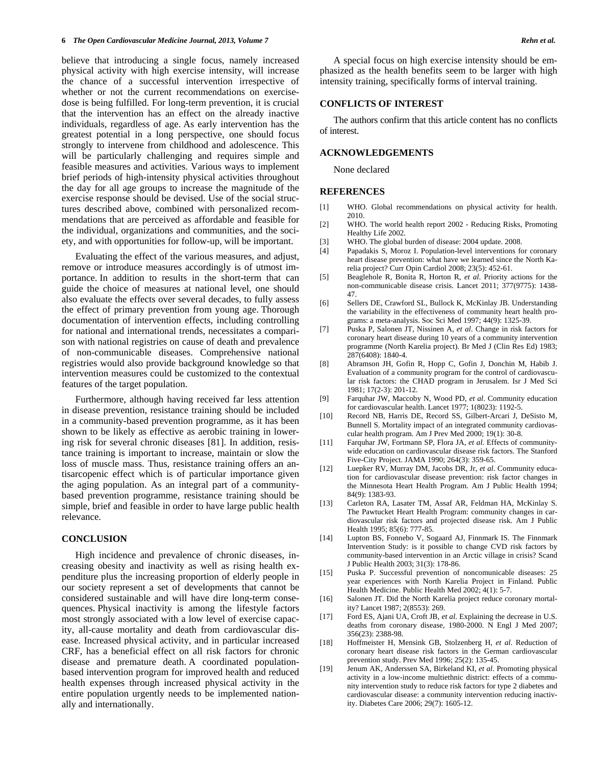believe that introducing a single focus, namely increased physical activity with high exercise intensity, will increase the chance of a successful intervention irrespective of whether or not the current recommendations on exercisedose is being fulfilled. For long-term prevention, it is crucial that the intervention has an effect on the already inactive individuals, regardless of age. As early intervention has the greatest potential in a long perspective, one should focus strongly to intervene from childhood and adolescence. This will be particularly challenging and requires simple and feasible measures and activities. Various ways to implement brief periods of high-intensity physical activities throughout the day for all age groups to increase the magnitude of the exercise response should be devised. Use of the social structures described above, combined with personalized recommendations that are perceived as affordable and feasible for the individual, organizations and communities, and the society, and with opportunities for follow-up, will be important.

 Evaluating the effect of the various measures, and adjust, remove or introduce measures accordingly is of utmost importance. In addition to results in the short-term that can guide the choice of measures at national level, one should also evaluate the effects over several decades, to fully assess the effect of primary prevention from young age. Thorough documentation of intervention effects, including controlling for national and international trends, necessitates a comparison with national registries on cause of death and prevalence of non-communicable diseases. Comprehensive national registries would also provide background knowledge so that intervention measures could be customized to the contextual features of the target population.

 Furthermore, although having received far less attention in disease prevention, resistance training should be included in a community-based prevention programme, as it has been shown to be likely as effective as aerobic training in lowering risk for several chronic diseases [81]. In addition, resistance training is important to increase, maintain or slow the loss of muscle mass. Thus, resistance training offers an antisarcopenic effect which is of particular importance given the aging population. As an integral part of a communitybased prevention programme, resistance training should be simple, brief and feasible in order to have large public health relevance.

#### **CONCLUSION**

 High incidence and prevalence of chronic diseases, increasing obesity and inactivity as well as rising health expenditure plus the increasing proportion of elderly people in our society represent a set of developments that cannot be considered sustainable and will have dire long-term consequences. Physical inactivity is among the lifestyle factors most strongly associated with a low level of exercise capacity, all-cause mortality and death from cardiovascular disease. Increased physical activity, and in particular increased CRF, has a beneficial effect on all risk factors for chronic disease and premature death. A coordinated populationbased intervention program for improved health and reduced health expenses through increased physical activity in the entire population urgently needs to be implemented nationally and internationally.

 A special focus on high exercise intensity should be emphasized as the health benefits seem to be larger with high intensity training, specifically forms of interval training.

## **CONFLICTS OF INTEREST**

 The authors confirm that this article content has no conflicts of interest.

## **ACKNOWLEDGEMENTS**

None declared

#### **REFERENCES**

- [1] WHO. Global recommendations on physical activity for health. 2010.
- [2] WHO. The world health report 2002 Reducing Risks, Promoting Healthy Life 2002.
- [3] WHO. The global burden of disease: 2004 update. 2008.
- [4] Papadakis S, Moroz I. Population-level interventions for coronary heart disease prevention: what have we learned since the North Karelia project? Curr Opin Cardiol 2008; 23(5): 452-61.
- [5] Beaglehole R, Bonita R, Horton R, *et al*. Priority actions for the non-communicable disease crisis. Lancet 2011; 377(9775): 1438- 47.
- [6] Sellers DE, Crawford SL, Bullock K, McKinlay JB. Understanding the variability in the effectiveness of community heart health programs: a meta-analysis. Soc Sci Med 1997; 44(9): 1325-39.
- [7] Puska P, Salonen JT, Nissinen A, *et al*. Change in risk factors for coronary heart disease during 10 years of a community intervention programme (North Karelia project). Br Med J (Clin Res Ed) 1983; 287(6408): 1840-4.
- [8] Abramson JH, Gofin R, Hopp C, Gofin J, Donchin M, Habib J. Evaluation of a community program for the control of cardiovascular risk factors: the CHAD program in Jerusalem. Isr J Med Sci 1981; 17(2-3): 201-12.
- [9] Farquhar JW, Maccoby N, Wood PD, *et al*. Community education for cardiovascular health. Lancet 1977; 1(8023): 1192-5.
- [10] Record NB, Harris DE, Record SS, Gilbert-Arcari J, DeSisto M, Bunnell S. Mortality impact of an integrated community cardiovascular health program. Am J Prev Med 2000; 19(1): 30-8.
- [11] Farquhar JW, Fortmann SP, Flora JA, *et al*. Effects of communitywide education on cardiovascular disease risk factors. The Stanford Five-City Project. JAMA 1990; 264(3): 359-65.
- [12] Luepker RV, Murray DM, Jacobs DR, Jr, *et al*. Community education for cardiovascular disease prevention: risk factor changes in the Minnesota Heart Health Program. Am J Public Health 1994; 84(9): 1383-93.
- [13] Carleton RA, Lasater TM, Assaf AR, Feldman HA, McKinlay S. The Pawtucket Heart Health Program: community changes in cardiovascular risk factors and projected disease risk. Am J Public Health 1995; 85(6): 777-85.
- [14] Lupton BS, Fonnebo V, Sogaard AJ, Finnmark IS. The Finnmark Intervention Study: is it possible to change CVD risk factors by community-based intervention in an Arctic village in crisis? Scand J Public Health 2003; 31(3): 178-86.
- [15] Puska P. Successful prevention of noncomunicable diseases: 25 year experiences with North Karelia Project in Finland. Public Health Medicine. Public Health Med 2002; 4(1): 5-7.
- [16] Salonen JT. Did the North Karelia project reduce coronary mortality? Lancet 1987; 2(8553): 269.
- [17] Ford ES, Ajani UA, Croft JB, *et al*. Explaining the decrease in U.S. deaths from coronary disease, 1980-2000. N Engl J Med 2007; 356(23): 2388-98.
- [18] Hoffmeister H, Mensink GB, Stolzenberg H, *et al*. Reduction of coronary heart disease risk factors in the German cardiovascular prevention study. Prev Med 1996; 25(2): 135-45.
- [19] Jenum AK, Anderssen SA, Birkeland KI, *et al*. Promoting physical activity in a low-income multiethnic district: effects of a community intervention study to reduce risk factors for type 2 diabetes and cardiovascular disease: a community intervention reducing inactivity. Diabetes Care 2006; 29(7): 1605-12.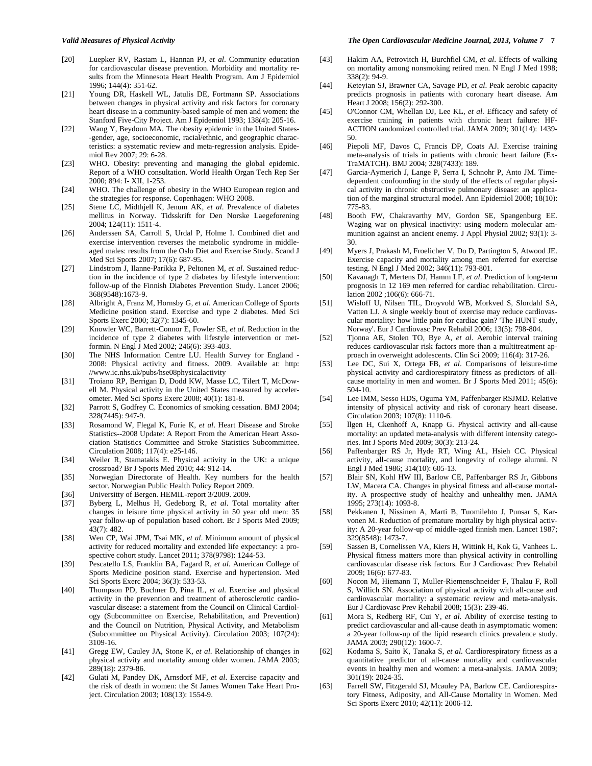- *Valid Measures of Physical Activity The Open Cardiovascular Medicine Journal, 2013, Volume 7* **7**
- [20] Luepker RV, Rastam L, Hannan PJ, *et al*. Community education for cardiovascular disease prevention. Morbidity and mortality results from the Minnesota Heart Health Program. Am J Epidemiol 1996; 144(4): 351-62.
- [21] Young DR, Haskell WL, Jatulis DE, Fortmann SP. Associations between changes in physical activity and risk factors for coronary heart disease in a community-based sample of men and women: the Stanford Five-City Project. Am J Epidemiol 1993; 138(4): 205-16.
- [22] Wang Y, Beydoun MA. The obesity epidemic in the United States- -gender, age, socioeconomic, racial/ethnic, and geographic characteristics: a systematic review and meta-regression analysis. Epidemiol Rev 2007; 29: 6-28.
- [23] WHO. Obesity: preventing and managing the global epidemic. Report of a WHO consultation. World Health Organ Tech Rep Ser 2000; 894: I- XII, 1-253.
- [24] WHO. The challenge of obesity in the WHO European region and the strategies for response. Copenhagen: WHO 2008.
- [25] Stene LC, Midthjell K, Jenum AK, *et al*. Prevalence of diabetes mellitus in Norway. Tidsskrift for Den Norske Laegeforening 2004; 124(11): 1511-4.
- [26] Anderssen SA, Carroll S, Urdal P, Holme I. Combined diet and exercise intervention reverses the metabolic syndrome in middleaged males: results from the Oslo Diet and Exercise Study. Scand J Med Sci Sports 2007; 17(6): 687-95.
- [27] Lindstrom J, Ilanne-Parikka P, Peltonen M, *et al*. Sustained reduction in the incidence of type 2 diabetes by lifestyle intervention: follow-up of the Finnish Diabetes Prevention Study. Lancet 2006; 368(9548):1673-9.
- [28] Albright A, Franz M, Hornsby G, *et al*. American College of Sports Medicine position stand. Exercise and type 2 diabetes. Med Sci Sports Exerc 2000; 32(7): 1345-60.
- [29] Knowler WC, Barrett-Connor E, Fowler SE, *et al*. Reduction in the incidence of type 2 diabetes with lifestyle intervention or metformin. N Engl J Med 2002; 246(6): 393-403.
- [30] The NHS Information Centre LU. Health Survey for England -2008: Physical activity and fitness. 2009. Available at: http: //www.ic.nhs.uk/pubs/hse08physicalactivity
- [31] Troiano RP, Berrigan D, Dodd KW, Masse LC, Tilert T, McDowell M. Physical activity in the United States measured by accelerometer. Med Sci Sports Exerc 2008; 40(1): 181-8.
- [32] Parrott S, Godfrey C. Economics of smoking cessation. BMJ 2004; 328(7445): 947-9.
- [33] Rosamond W, Flegal K, Furie K, *et al*. Heart Disease and Stroke Statistics--2008 Update: A Report From the American Heart Association Statistics Committee and Stroke Statistics Subcommittee. Circulation 2008; 117(4): e25-146.
- [34] Weiler R, Stamatakis E. Physical activity in the UK: a unique crossroad? Br J Sports Med 2010; 44: 912-14.
- [35] Norwegian Directorate of Health. Key numbers for the health sector. Norwegian Public Health Policy Report 2009.
- [36] Universitty of Bergen. HEMIL-report 3/2009. 2009.
- [37] Byberg L, Melhus H, Gedeborg R, *et al*. Total mortality after changes in leisure time physical activity in 50 year old men: 35 year follow-up of population based cohort. Br J Sports Med 2009; 43(7): 482.
- [38] Wen CP, Wai JPM, Tsai MK, *et al*. Minimum amount of physical activity for reduced mortality and extended life expectancy: a prospective cohort study. Lancet 2011; 378(9798): 1244-53.
- [39] Pescatello LS, Franklin BA, Fagard R, *et al*. American College of Sports Medicine position stand. Exercise and hypertension. Med Sci Sports Exerc 2004; 36(3): 533-53.
- [40] Thompson PD, Buchner D, Pina IL, *et al*. Exercise and physical activity in the prevention and treatment of atherosclerotic cardiovascular disease: a statement from the Council on Clinical Cardiology (Subcommittee on Exercise, Rehabilitation, and Prevention) and the Council on Nutrition, Physical Activity, and Metabolism (Subcommittee on Physical Activity). Circulation 2003; 107(24): 3109-16.
- [41] Gregg EW, Cauley JA, Stone K, *et al*. Relationship of changes in physical activity and mortality among older women. JAMA 2003; 289(18): 2379-86.
- [42] Gulati M, Pandey DK, Arnsdorf MF, *et al*. Exercise capacity and the risk of death in women: the St James Women Take Heart Project. Circulation 2003; 108(13): 1554-9.
- [43] Hakim AA, Petrovitch H, Burchfiel CM, *et al*. Effects of walking on mortality among nonsmoking retired men. N Engl J Med 1998; 338(2): 94-9.
- [44] Keteyian SJ, Brawner CA, Savage PD, *et al*. Peak aerobic capacity predicts prognosis in patients with coronary heart disease. Am Heart J 2008; 156(2): 292-300.
- [45] O'Connor CM, Whellan DJ, Lee KL, *et al*. Efficacy and safety of exercise training in patients with chronic heart failure: HF-ACTION randomized controlled trial. JAMA 2009; 301(14): 1439- 50.
- [46] Piepoli MF, Davos C, Francis DP, Coats AJ. Exercise training meta-analysis of trials in patients with chronic heart failure (Ex-TraMATCH). BMJ 2004; 328(7433): 189.
- [47] Garcia-Aymerich J, Lange P, Serra I, Schnohr P, Anto JM. Timedependent confounding in the study of the effects of regular physical activity in chronic obstructive pulmonary disease: an application of the marginal structural model. Ann Epidemiol 2008; 18(10): 775-83.
- [48] Booth FW, Chakravarthy MV, Gordon SE, Spangenburg EE. Waging war on physical inactivity: using modern molecular ammunition against an ancient enemy. J Appl Physiol 2002; 93(1): 3- 30.
- [49] Myers J, Prakash M, Froelicher V, Do D, Partington S, Atwood JE. Exercise capacity and mortality among men referred for exercise testing. N Engl J Med 2002; 346(11): 793-801.
- [50] Kavanagh T, Mertens DJ, Hamm LF, *et al*. Prediction of long-term prognosis in 12 169 men referred for cardiac rehabilitation. Circulation 2002 ;106(6): 666-71.
- [51] Wisloff U, Nilsen TIL, Droyvold WB, Morkved S, Slordahl SA, Vatten LJ. A single weekly bout of exercise may reduce cardiovascular mortality: how little pain for cardiac gain? 'The HUNT study, Norway'. Eur J Cardiovasc Prev Rehabil 2006; 13(5): 798-804.
- [52] Tjonna AE, Stolen TO, Bye A, *et al*. Aerobic interval training reduces cardiovascular risk factors more than a multitreatment approach in overweight adolescents. Clin Sci 2009; 116(4): 317-26.
- [53] Lee DC, Sui X, Ortega FB, *et al*. Comparisons of leisure-time physical activity and cardiorespiratory fitness as predictors of allcause mortality in men and women. Br J Sports Med 2011; 45(6): 504-10.
- [54] Lee IMM, Sesso HDS, Oguma YM, Paffenbarger RSJMD. Relative intensity of physical activity and risk of coronary heart disease. Circulation 2003; 107(8): 1110-6.
- [55] llgen H, Ckenhoff A, Knapp G. Physical activity and all-cause mortality: an updated meta-analysis with different intensity categories. Int J Sports Med 2009; 30(3): 213-24.
- [56] Paffenbarger RS Jr, Hyde RT, Wing AL, Hsieh CC. Physical activity, all-cause mortality, and longevity of college alumni. N Engl J Med 1986; 314(10): 605-13.
- [57] Blair SN, Kohl HW III, Barlow CE, Paffenbarger RS Jr, Gibbons LW, Macera CA. Changes in physical fitness and all-cause mortality. A prospective study of healthy and unhealthy men. JAMA 1995; 273(14): 1093-8.
- [58] Pekkanen J, Nissinen A, Marti B, Tuomilehto J, Punsar S, Karvonen M. Reduction of premature mortality by high physical activity: A 20-year follow-up of middle-aged finnish men. Lancet 1987; 329(8548): 1473-7.
- [59] Sassen B, Cornelissen VA, Kiers H, Wittink H, Kok G, Vanhees L. Physical fitness matters more than physical activity in controlling cardiovascular disease risk factors. Eur J Cardiovasc Prev Rehabil 2009; 16(6): 677-83.
- [60] Nocon M, Hiemann T, Muller-Riemenschneider F, Thalau F, Roll S, Willich SN. Association of physical activity with all-cause and cardiovascular mortality: a systematic review and meta-analysis. Eur J Cardiovasc Prev Rehabil 2008; 15(3): 239-46.
- [61] Mora S, Redberg RF, Cui Y, *et al*. Ability of exercise testing to predict cardiovascular and all-cause death in asymptomatic women: a 20-year follow-up of the lipid research clinics prevalence study. JAMA 2003; 290(12): 1600-7.
- [62] Kodama S, Saito K, Tanaka S, *et al*. Cardiorespiratory fitness as a quantitative predictor of all-cause mortality and cardiovascular events in healthy men and women: a meta-analysis. JAMA 2009; 301(19): 2024-35.
- [63] Farrell SW, Fitzgerald SJ, Mcauley PA, Barlow CE. Cardiorespiratory Fitness, Adiposity, and All-Cause Mortality in Women. Med Sci Sports Exerc 2010; 42(11): 2006-12.